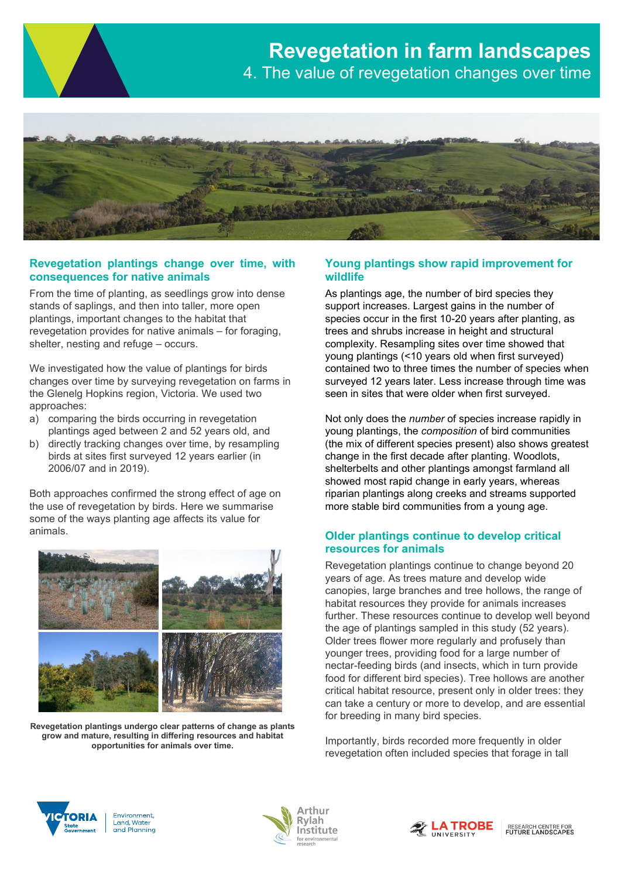

## **Revegetation plantings change over time, with consequences for native animals**

From the time of planting, as seedlings grow into dense stands of saplings, and then into taller, more open plantings, important changes to the habitat that revegetation provides for native animals – for foraging, shelter, nesting and refuge – occurs.

We investigated how the value of plantings for birds changes over time by surveying revegetation on farms in the Glenelg Hopkins region, Victoria. We used two approaches:

- a) comparing the birds occurring in revegetation plantings aged between 2 and 52 years old, and
- b) directly tracking changes over time, by resampling birds at sites first surveyed 12 years earlier (in 2006/07 and in 2019).

Both approaches confirmed the strong effect of age on the use of revegetation by birds. Here we summarise some of the ways planting age affects its value for animals.



**Revegetation plantings undergo clear patterns of change as plants grow and mature, resulting in differing resources and habitat opportunities for animals over time.** 

# **Young plantings show rapid improvement for wildlife**

As plantings age, the number of bird species they support increases. Largest gains in the number of species occur in the first 10-20 years after planting, as trees and shrubs increase in height and structural complexity. Resampling sites over time showed that young plantings (<10 years old when first surveyed) contained two to three times the number of species when surveyed 12 years later. Less increase through time was seen in sites that were older when first surveyed.

Not only does the *number* of species increase rapidly in young plantings, the *composition* of bird communities (the mix of different species present) also shows greatest change in the first decade after planting. Woodlots, shelterbelts and other plantings amongst farmland all showed most rapid change in early years, whereas riparian plantings along creeks and streams supported more stable bird communities from a young age.

# **Older plantings continue to develop critical resources for animals**

Revegetation plantings continue to change beyond 20 years of age. As trees mature and develop wide canopies, large branches and tree hollows, the range of habitat resources they provide for animals increases further. These resources continue to develop well beyond the age of plantings sampled in this study (52 years). Older trees flower more regularly and profusely than younger trees, providing food for a large number of nectar-feeding birds (and insects, which in turn provide food for different bird species). Tree hollows are another critical habitat resource, present only in older trees: they can take a century or more to develop, and are essential for breeding in many bird species.

Importantly, birds recorded more frequently in older revegetation often included species that forage in tall



Environment, Land, Water and Planning